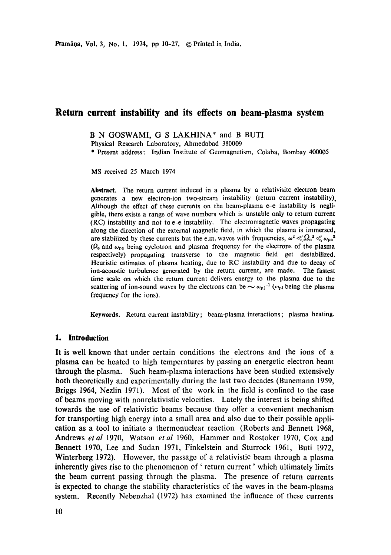B N GOSWAMI, G S LAKHINA\* and B BUTI

Physical Research Laboratory, Ahmedabad 380009

\* Present address: Indian Institute of Geomagnetism, Colaba, Bombay 400005

MS received 25 March 1974

**Abstract.** The return current induced in a plasma by a relativisitc electron beam generates a new electron-ion two-stream instability (return current instability). Although the effect of these currents on the beam-plasma e-e instability is negligible, there exists a range of wave numbers which is unstable only to return current (RC) instability and not to e-e instability. The electromagnetic waves propagating along the direction of the external magnetic field, in which the plasma is immersed, are stabilized by these currents but the e.m. waves with frequencies,  $\omega^2 \ll \Omega_0^2 \ll \omega_{\text{de}}^2$ ( $\Omega$ <sub>e</sub> and  $\omega_{pe}$  being cyclotron and plasma frequency for the electrons of the plasma respectively) propagating transverse to the magnetic field get destabilized. Heuristic estimates of plasma heating, due to RC instability and due to decay of ion-acoustic turbulence generated by the return current, are made. The fastest time scale on which the return current delivers energy to the plasma due to the scattering of ion-sound waves by the electrons can be  $\sim \omega_{pi}^{-1}$  ( $\omega_{pi}$  being the plasma frequency for the ions).

**Keywords.** Return current instability; beam-plasma interactions; plasma heating.

## **1. Introduction**

It is well known that under certain conditions the electrons and the ions of a plasma can be heated to high temperatures by passing an energetic electron beam through the plasma. Such beam-plasma interactions have been studied extensively both theoretically and experimentally during the last two decades (Bunemann 1959, Briggs 1964, Nezlin 1971). Most of the work in the field is confined to the case of beams moving with nonrelativistic velocities. Lately the interest is being shifted towards the use of relativistic beams because they offer a convenient mechanism for transporting high energy into a small area and also due to their possible application as a tool to initiate a thermonuclear reaction (Roberts and Bennett 1968, Andrews *etal* 1970, Watson *etal* 1960, Hammer and Rostoker 1970, Cox and Bennett 1970, Lee and Sudan 1971, Finkelstein and Sturrock 1961, Buti 1972, Winterberg 1972). However, the passage of a relativistic beam through a plasma inherently gives rise to the phenomenon of 'return current' which ultimately limits the beam current passing through the plasma. The presence of return currents is expected to change the stability characteristics of the waves in the beam-plasma system. Recently Nebenzhal (1972) has examined the influence of these currents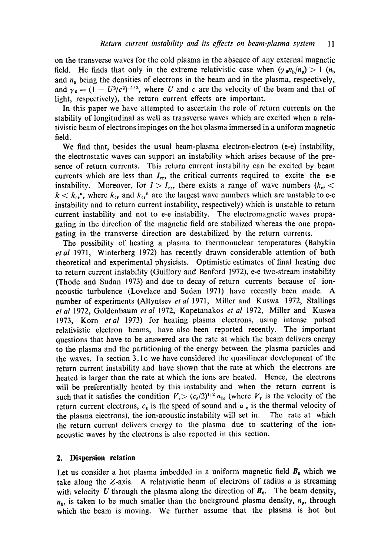on the transverse waves for the cold plasma in the absence of any external magnetic field. He finds that only in the extreme relativistic case when  $(\gamma_0 n_h/n_p) > 1$   $(n_h$ and  $n_p$  being the densities of electrons in the beam and in the plasma, respectively, and  $y_0 = (1 - U^2/c^2)^{-1/2}$ , where U and c are the velocity of the beam and that of light, respectively), the return current effects are important.

In this paper we have attempted to ascertain the role of return currents on **the**  stability of longitudinal as well as transverse waves which are excited when a relativistic beam of electrons impinges on the hot plasma immersed in a uniform magnetic field.

We find that, besides the usual beam-plasma electron-electron (e-e) instability, the electrostatic waves can support an instability which arises because of the presence of return currents. This return current instability can be excited by beam currents which are less than  $I_{cr}$ , the critical currents required to excite the e-e instability. Moreover, for  $I > I_{cr}$ , there exists a range of wave numbers ( $k_{cr}$  <  $k < k_{cr}$ , where  $k_{cr}$  and  $k_{cr}$ <sup>n</sup> are the largest wave numbers which are unstable to e-e instability and to return current instability, respectively) which is unstable to return current instability and not to e-e instability. The electromagnetic waves propagating in the direction of the magnetic field are stabilized whereas the one propagating in the transverse direction are destabilized by the return currents.

The possibility of heating a plasma to thermonuclear temperatures (Babykin *etal* 1971, Winterberg 1972) has recently drawn considerable attention of both theoretical and experimental physicists. Optimistic estimates of final heating due to return current instability (Guillory and Benford 1972), e-e two-stream instability (Thode and Sudan 1973) and due to decay of return currents because of ionacoustic turbulence (Lovelace and Sudan 1971) have recently been made. A number of experiments (Altyntsev *et al* 1971, Miller and Kuswa 1972, Stallings *et al* 1972, Goldenbaum *et al* 1972, Kapetanakos *et al* 1972, Miller and Kuswa 1973, Korn *etal* 1973) for heating plasma electrons, using intense pulsed relativistic electron beams, have also been reported recently. The important questions that have to be answered are the rate at which the beam delivers energy to the plasma and the partitioning of the energy between the plasma particles and the waves. In section 3.1 c we have considered the quasilinear development of the return current instability and have shown that the rate at which the electrons are heated is larger than the rate at which the ions are heated. Hence, the electrons will be preferentially heated by this instability and when the return current is such that it satisfies the condition  $V_r > (c_s/2)^{1/2} a_{\parallel e}$  (where  $V_r$  is the velocity of the return current electrons,  $c_s$  is the speed of sound and  $a_{\parallel}$  is the thermal velocity of the plasma electrons), the ion-acoustic instability will set in. The rate at which the return current delivers energy to the plasma due to scattering of the ionacoustic waves by the electrons is also reported in this section.

#### **2. Dispersion relation**

Let us consider a hot plasma imbedded in a uniform magnetic field  $B_0$  which we take along the  $Z$ -axis. A relativistic beam of electrons of radius  $a$  is streaming with velocity U through the plasma along the direction of  $B_0$ . The beam density,  $n_{\rm b}$ , is taken to be much smaller than the background plasma density,  $n_{\rm p}$ , through which the beam is moving. We further assume that the plasma is hot but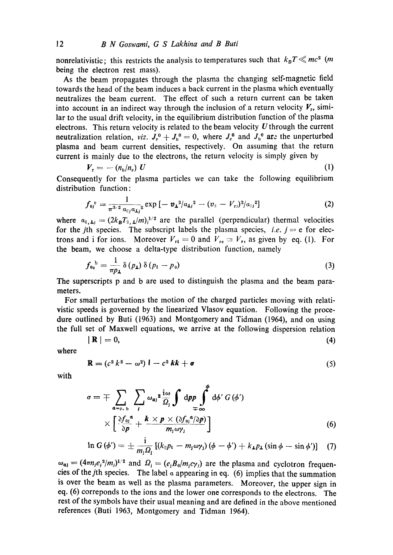nonrelativistic; this restricts the analysis to temperatures such that  $k_B T \leq m c^2$  (m being the electron rest mass).

As the beam propagates through the plasma the changing self-magnetic field towards the head of the beam induces a back current in the plasma which eventually neutralizes the beam current. The effect of such a return current can be taken into account in an indirect way through the inclusion of a return velocity  $V_r$ , similar to the usual drift velocity, in the equilibrium distribution function of the plasma electrons. This return velocity is related to the beam velocity *U* through the current neutralization relation, *viz.*  $J_p^0 + J_p^0 = 0$ , where  $J_p^0$  and  $J_p^0$  are the unperturbed plasma and beam current densities, respectively. On assuming that the return

current is mainly due to the electrons, the return velocity is simply given by  
\n
$$
V_r = -(n_b/n_r) U
$$
\n(1)

Consequently for the plasma particles we can take the following equilibrium distribution function :

$$
f_{0j}^{P} = \frac{1}{\pi^{3/2} a_{\parallel j} a_{\perp j}^{2}} \exp \left[ - \nu_{\perp}^{2} / a_{\perp j}^{2} - (v_{\parallel} - V_{\perp j})^{2} / a_{\parallel j}^{2} \right]
$$
 (2)

where  $a_{\parallel, \perp j} = (2k_B T_{\parallel, \perp}/m)^{1/2}$  are the parallel (perpendicular) thermal velocities for the *j*th species. The subscript labels the plasma species, *i.e.*  $j = e$  for electrons and i for ions. Moreover  $V_{11} = 0$  and  $V_{1e} = V_{1}$ , as given by eq. (1). For the beam, we choose a delta-type distribution function, namely

$$
f_{\mathbf{0e}}^{\mathbf{b}} = \frac{1}{\pi p_{\mathbf{1}}} \delta(p_{\mathbf{1}}) \delta(p_{\mathbf{0}} - p_{\mathbf{0}}) \tag{3}
$$

The superscripts p and b are used to distinguish the plasma and the beam parameters.

For small perturbations the motion of the charged particles moving with relativistic speeds is governed by the linearized Vlasov equation. Following the procedure outlined by Buti (1963) and Montgomery and Tidman (1964), and on using the full set of Maxwell equations, we arrive at the following dispersion relation

$$
|\mathbf{R}| = 0,\tag{4}
$$

where

$$
\mathbf{R} = (c^2 k^2 - \omega^2) \mathbf{I} - c^2 k \mathbf{k} + \boldsymbol{\sigma}
$$
 (5)

with

$$
\sigma = \mp \sum_{a=p, b} \sum_{j} \omega_{a j}^{2} \frac{i \omega}{\Omega_{j}} \int dp p \int_{\mp \infty}^{\phi} d\phi' G(\phi')
$$
  
 
$$
\times \left[ \frac{\partial f_{0j}^{a}}{\partial p} + \frac{k \times p \times (\partial f_{0j}^{a}/\partial p)}{m_{j} \omega \gamma_{j}} \right]
$$
(6)

$$
\ln G(\phi') = \pm \frac{i}{m_1 \Omega_1} \left[ (k_{\parallel} p_{\parallel} - m_1 \omega \gamma_1) (\phi - \phi') + k_{\perp} p_{\perp} (\sin \phi - \sin \phi') \right] (7)
$$

 $\omega_{\alpha j} = (4\pi n_i e_i^2/m_i)^{1/2}$  and  $\Omega_j = (e_j B_0/m_i c \gamma_i)$  are the plasma and cyclotron frequencies of the *j*th species. The label  $\alpha$  appearing in eq. (6) implies that the summation is over the beam as well as the plasma parameters. Moreover, the upper sign in eq. (6) correponds to the ions and the lower one corresponds to the electrons. The rest of the symbols have their usual meaning and are defined in the above mentioned references (Buti 1963, Montgomery and Tidman 1964).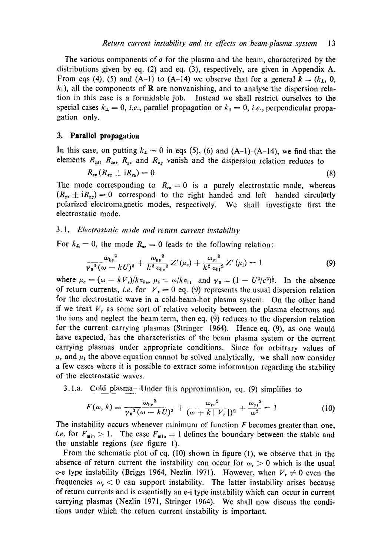The various components of  $\sigma$  for the plasma and the beam, characterized by the distributions given by eq. (2) and eq. (3), respectively, are given in Appendix A. From eqs (4), (5) and (A-1) to (A-14) we observe that for a general  $k = (k_1, 0, 1)$  $k_{\parallel}$ ), all the components of **R** are nonvanishing, and to analyse the dispersion relation in this case is a formidable job. Instead we shall restrict ourselves to the special cases  $k_{\perp} = 0$ , *i.e.*, parallel propagation or  $k_{\parallel} = 0$ , *i.e.*, perpendicular propagation only.

### **3. Parallel propagation**

In this case, on putting  $k_1 = 0$  in eqs (5), (6) and (A-1)-(A-14), we find that the elements  $R_{xx}$ ,  $R_{xx}$ ,  $R_{yz}$  and  $R_{xy}$  vanish and the dispersion relation reduces to

$$
R_{zz}\left(R_{zz}\pm iR_{zy}\right)=0\tag{8}
$$

The mode corresponding to  $R_{zz} = 0$  is a purely electrostatic mode, whereas  $(R_{zz} \pm iR_{zy}) = 0$  correspond to the right handed and left handed circularly polarized electromagnetic modes, respectively. We shall investigate first the electrostatic mode.

## *3.1. Electrostatic mode and rcturn current instability*

For  $k_1 = 0$ , the mode  $R_{12} = 0$  leads to the following relation:

$$
\frac{\omega_{\rm be}^2}{\gamma_0^3(\omega-kU)^2}+\frac{\omega_{\rm pe}^2}{k^2\alpha_{\rm He}^2}Z'(\mu_{\rm e})+\frac{\omega_{\rm Pl}^2}{k^2\alpha_{\rm Pl}^2}Z'(\mu_{\rm I})=1
$$
 (9)

where  $\mu_e = (\omega - kV_r)/ka_{\theta}$ ,  $\mu_i = \omega/ka_{\theta}$  and  $\gamma_0 = (1 - U^2/c^2)^{\frac{1}{2}}$ . In the absence of return currents, *i.e.* for  $V_1=0$  eq. (9) represents the usual dispersion relation for the electrostatic wave in a cold-beam-hot plasma system. On the other hand if we treat  $V<sub>r</sub>$ , as some sort of relative velocity between the plasma electrons and the ions and neglect the beam term, then eq. (9) reduces to the dispersion relation for the current carrying plasmas (Stringer 1964). Hence eq. (9), as one would have expected, has the characteristics of the beam plasma system or the current carrying plasmas under appropriate conditions. Since for arbitrary values of  $\mu_{\rm e}$  and  $\mu_{\rm i}$  the above equation cannot be solved analytically, we shall now consider a few cases where it is possible to extract some information regarding the stability of the electrostatic waves.

3.1.a. Cold plasma--Under this approximation, eq. (9) simplifies to

$$
F(\omega, k) \equiv \frac{\omega_{\mathrm{b}e}^2}{\gamma_0^3(\omega - kU)^2} + \frac{\omega_{\mathrm{r}e}^2}{(\omega + k|V_r|)^2} + \frac{\omega_{\mathrm{r}i}^2}{\omega^2} = 1 \tag{10}
$$

The instability occurs whenever minimum of function F becomes greater than one, *i.e.* for  $F_{\min} > 1$ . The case  $F_{\min} = 1$  defines the boundary between the stable and the unstable regions (see figure 1).

From the schematic plot of eq. (10) shown in figure (1), we observe that in the absence of return current the instability can occur for  $\omega_r > 0$  which is the usual e-e type instability (Briggs 1964, Nezlin 1971). However, when  $V_t \neq 0$  even the frequencies  $\omega$ ,  $\lt 0$  can support instability. The latter instability arises because of return currents and is essentially an e-i type instability which can occur in current carrying plasmas (Nezlin 1971, Stringer 1964). We shall now discuss the conditions under which the return current instability is important.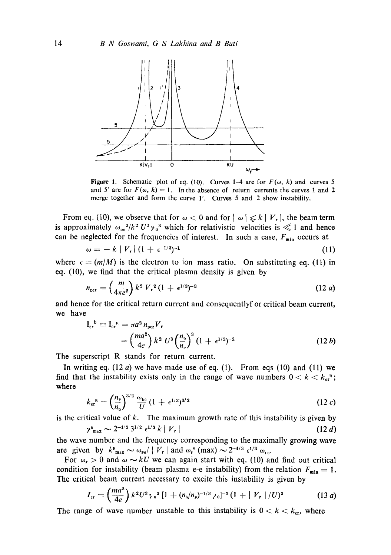

Figure 1. Schematic plot of eq. (10). Curves 1-4 are for  $F(\omega, k)$  and curves 5 and 5' are for  $F(\omega, k) = 1$ . In the absence of return currents the curves 1 and 2 merge together and form the curve 1'. Curves 5 and 2 show instability.

From eq. (10), we observe that for  $\omega < 0$  and for  $|\omega| \le k |V_r|$ , the beam term is approximately  $\omega_{00}^2/k^2 U^2 \gamma_0^3$  which for relativistic velocities is  $\ll 1$  and hence can be neglected for the frequencies of interest. In such a case,  $F_{min}$  occurs at

$$
\omega = -k \mid V, \mid (1 + \epsilon^{-1/3})^{-1} \tag{11}
$$

where  $\epsilon = (m/M)$  is the electron to ion mass ratio. On substituting eq. (11) in eq. (10), we find that the critical plasma density is given by

$$
n_{\rm per} = \left(\frac{m}{4\pi e^2}\right) k^2 V_r^2 (1 + \epsilon^{1/3})^{-3} \tag{12 a}
$$

and hence for the critical return current and consequentlyf or critical beam current, we have

$$
I_{cr}^{\ b} \equiv I_{cr}^{\ a} = \pi a^2 n_{per} V_r
$$
  
=  $\left(\frac{ma^2}{4e}\right) k^2 U^3 \left(\frac{n_b}{n_r}\right)^3 (1 + \epsilon^{1/3})^{-3}$  (12 b)

The superscript R stands for return current.

In writing eq.  $(12 a)$  we have made use of eq.  $(1)$ . From eqs  $(10)$  and  $(11)$  we find that the instability exists only in the range of wave numbers  $0 < k < k_{cr}$ ; where

$$
k_{\rm cr}^{\ \rm R} = \left(\frac{n_{\rm P}}{n_{\rm b}}\right)^{3/2} \frac{\omega_{\rm b\rm e}}{U} (1 + \epsilon^{1/3})^{3/2} \tag{12 c}
$$

is the critical value of  $k$ . The maximum growth rate of this instability is given by  $\gamma^{\text{R}}_{\text{max}} \sim 2^{-4/3} 3^{1/2} \epsilon^{1/3} k \mid V_r$  (12 d)

the wave number and the frequency corresponding to the maximally growing wave are given by  $k_{\max}^R \sim \omega_{\text{Pe}} / |V_r|$  and  $\omega_{\text{r}}^R$  (max)  $\sim 2^{-4/3} \epsilon^{1/3} \omega_{\text{pe}}$ .

For  $\omega_r > 0$  and  $\omega \sim kU$  we can again start with eq. (10) and find out critical condition for instability (beam plasma e-e instability) from the relation  $F_{\min} = 1$ . The critical beam current necessary to excite this instability is given by

$$
I_{\rm cr} = \left(\frac{ma^2}{4e}\right) k^2 U^3 \gamma_0^3 \left[1 + (n_{\rm b}/n_{\rm p})^{-1/3} \gamma_0\right]^{-3} (1 + |V_{\rm r}|/U)^2 \qquad (13 \ a)
$$

The range of wave number unstable to this instability is  $0 < k < k_{cr}$ , where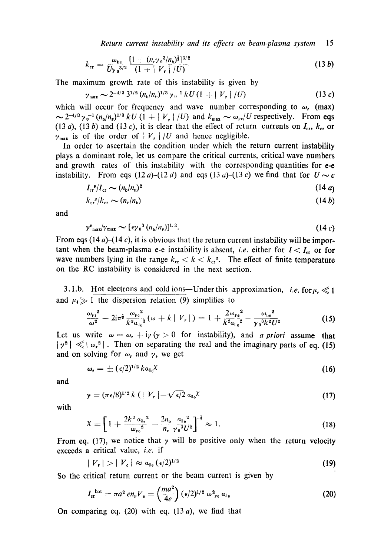$$
k_{\rm cr} = \frac{\omega_{\rm be}}{U\gamma_0^{3/2}} \frac{[1 + (n_{\rm e}\gamma_0^3/n_{\rm b})^{\frac{1}{3}}]^{3/2}}{(1 + |V_r|/U)}
$$
(13*b*)

The maximum growth rate of this instability is given by

$$
\gamma_{\text{max}} \sim 2^{-4/3} 3^{1/2} (n_{\text{b}}/n_{\text{p}})^{1/3} \gamma_0^{-1} k U (1 + |V_r|/U) \tag{13 c}
$$

which will occur for frequency and wave number corresponding to  $\omega$ , (max)  $\sim 2^{-4/3} \gamma_0^{-1} (n_b/n_r)^{1/3} kU (1 + |V_{\perp}|/U)$  and  $k_{\text{max}} \sim \omega_{re}/U$  respectively. From eqs (13 a), (13 b) and (13 c), it is clear that the effect of return currents on  $I_{cr}$ ,  $k_{cr}$  or  $v_{\text{max}}$  is of the order of  $|V_r|/U$  and hence negligible.

In order to ascertain the condition under which the return current instability plays a dominant role, let us compare the critical currents, critical wave numbers and growth rates of this instability with the corresponding quantities for e-e instability. From eqs  $(12a)-(12d)$  and eqs  $(13a)-(13c)$  we find that for  $U\sim c$ 

$$
I_{\rm cr}{}^{\rm R}/I_{\rm cr} \sim (n_{\rm b}/n_{\rm p})^2 \tag{14a}
$$

$$
k_{\rm cr}{}^{\scriptscriptstyle\rm R}/k_{\rm cr} \sim (n_{\scriptscriptstyle\rm P}/n_{\scriptscriptstyle\rm b})\tag{14b}
$$

and

$$
\gamma_{\max}^R/\gamma_{\max} \sim [\epsilon \gamma_0^3 (n_b/n_e)]^{1/3}.
$$
 (14 c)

From eqs (14 a)–(14 c), it is obvious that the return current instability will be important when the beam-plasma e-e instability is absent, *i.e.* either for  $I < I_{cr}$  or for wave numbers lying in the range  $k_{cr} < k < k_{cr}$ . The effect of finite temperature on the RC instability is considered in the next section.

3. l.b. Hot electrons and cold ions—Under this approximation, *i.e.* for  $\mu_{\epsilon} \ll 1$ and  $\mu_{\ell} \gg 1$  the dispersion relation (9) simplifies to

$$
\frac{\omega_{\rm Pl}^2}{\omega^2} - 2i\pi^{\frac{1}{2}}\frac{\omega_{\rm Pe}^2}{k^3\alpha_{\parallel e}^3}(\omega + k \mid V_r|) = 1 + \frac{2\omega_{\rm Pe}^2}{k^2\alpha_{\parallel e}^2} - \frac{\omega_{\rm be}^2}{\gamma_0^3k^2U^2}
$$
(15)

Let us write  $\omega = \omega_r + i$ ) ( $\gamma > 0$  for instability), and *a priori* assume that  $|\gamma^2| \ll |\omega_r^2|$ . Then on separating the real and the imaginary parts of eq. (15) and on solving for  $\omega_r$ , and  $\gamma$ , we get

$$
\omega_{\mathbf{r}} = \pm \left( \frac{\epsilon}{2} \right)^{1/2} k a_{\parallel} \chi \tag{16}
$$

and

$$
\gamma = (\pi \epsilon/8)^{1/2} k \left( \mid V_r \mid -\sqrt{\epsilon/2} a_{\parallel e} \chi \right) \tag{17}
$$

with

$$
X = \left[1 + \frac{2k^2 a_{\parallel e}^2}{\omega_{\text{pe}}^2} - \frac{2n_{\text{p}}}{n_{\text{p}}} \frac{a_{\parallel e}^2}{\gamma_0^3 U^2}\right]^{-\frac{1}{2}} \approx 1. \tag{18}
$$

From eq. (17), we notice that  $\gamma$  will be positive only when the return velocity exceeds a critical value, *i.e.* if

$$
|V_{\mathbf{r}}|>|V_{\mathbf{c}}|\approx a_{\mathbf{u}_{\mathbf{e}}}(\epsilon/2)^{1/2}
$$
 (19)

So the critical return current or the beam current is given by

$$
I_{\rm cr}^{\rm hot} = \pi a^2 \, e n_{\rm P} V_{\rm e} = \left(\frac{m a^2}{4e}\right) (\epsilon/2)^{1/2} \, \omega_{\rm Pe}^2 \, \alpha_{\parallel e} \tag{20}
$$

On comparing eq. (20) with eq. (13 a), we find that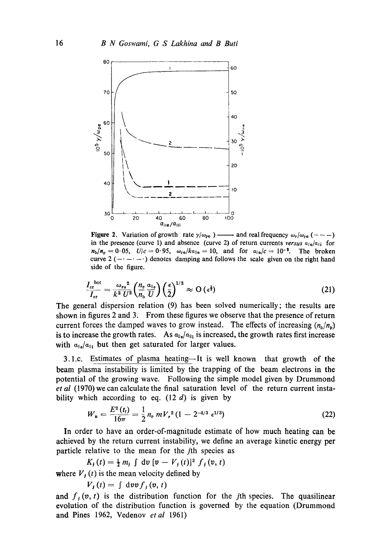

in the presence (curve 1) and absence (curve 2) of return currents  $versus \alpha_{\parallel e}/\alpha_{\parallel i}$  for  $n_b/n_p = 0.05$ ,  $U/c = 0.95$ ,  $\omega_{pe}/ka_{||e} = 10$ , and for  $a_{||e}/c = 10^{-2}$ . The broken curve  $2$   $(- - - -)$  denotes damping and follows the scale given on the right hand **side of the figure.** 

$$
\frac{I_{\rm cr}^{\rm hot}}{I_{\rm cr}} = \frac{\omega_{\rm Fe}^2}{k^2 U^2} \left(\frac{n_{\rm e}}{n_{\rm b}} \frac{\alpha_{\parallel e}}{U}\right) \left(\frac{\epsilon}{2}\right)^{1/2} \approx O\left(\epsilon^{\frac{1}{2}}\right) \tag{21}
$$

The general dispersion relation (9) has been solved numerically; the results are shown in figures 2 and **3.** From these figures we observe that the presence of return current forces the damped waves to grow instead. The effects of increasing  $(n_h/n_h)$ is to increase the growth rates. As  $a_{\parallel \phi}/a_{\parallel 1}$  is increased, the growth rates first increase with  $a_{\parallel}$ ,  $a_{\parallel}$  but then get saturated for larger values.

3.l.c. Estimates of plasma heating-It is well known that growth of the beam plasma instability is limited by the trapping of the beam electrons in the potential of the growing wave. Following the simple model given by Drummond et **a1** (1970) we can calculate the final saturation level of the return current instability which according to eq. (12 *d)* is given by

$$
W_{\rm R} = \frac{E^2(t_{\rm f})}{16\pi} = \frac{1}{2} n_{\rm P} mV_r^2 (1 - 2^{-4/3} \epsilon^{1/3})
$$
 (22)

In order to have an order-of-magnitude estimate of how much heating can be achieved by the return current instability, we define an average kinetic energy per

particle relative to the mean for the *j*th species as  

$$
K_j(t) = \frac{1}{2} m_j \int dv \, [v - V_j(t)]^2 f_j(v, t)
$$

where  $V_i(t)$  is the mean velocity defined by

$$
V_j(t) = \int dv v f_j(v, t)
$$

and  $f_i$   $(v, t)$  is the distribution function for the *j*th species. The quasilinear evolution of the distribution function is governed by the equation (Drummond and Pines 1962, Vedenov et al 1961)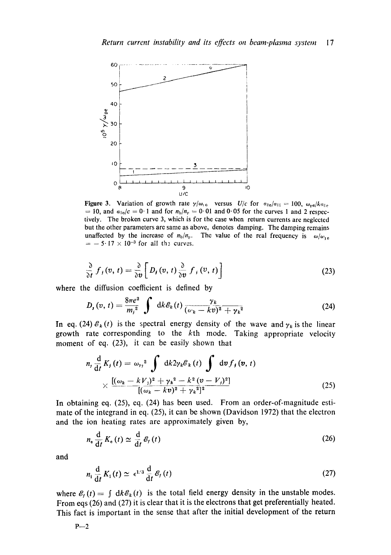

Figure 3. Variation of growth rate  $\gamma/\omega_{10}$  versus *U/c* for  $\sigma_{\parallel e}/a_{\parallel i} = 100$ ,  $\omega_{\text{pe}}/ka_{\parallel e}$  $= 10$ , and  $a_{\text{He}}/c = 0.1$  and for  $n_b/n_p = 0.01$  and 0.05 for the curves 1 and 2 respectively. The broken curve 3, which is for the case when return currents are neglected but the other parameters are same as above, denotes damping. The damping remains unaffected by the increase of  $n_b/n_p$ . The value of the real frequency is  $\omega/\omega_{\text{ref}}$  $=$  -5' 17  $\times$  10<sup>-3</sup> for all the curves.

$$
\frac{\partial}{\partial t} f_j(v, t) = \frac{\partial}{\partial v} \bigg[ D_j(v, t) \frac{\partial}{\partial v} f_j(v, t) \bigg]
$$
\n(23)

where the diffusion coefficient is defined by

$$
D_{\mathbf{r}}(v,\,t)=\frac{8\pi e^2}{m_i^2}\int\;{\rm d}k\,\mathscr{E}_k(t)\,\frac{\gamma_k}{(\omega_k-kv)^2+\gamma_k^2}\qquad \qquad (24)
$$

In eq. (24)  $\mathcal{E}_k(t)$  is the spectral energy density of the wave and  $\gamma_k$  is the linear growth rate corresponding to the kth mode. Taking appropriate velocity moment of eq. (23), it can be easily shown that

$$
n_{j} \frac{d}{dt} K_{j} (t) = \omega_{r_{j}}^{2} \int d\kappa^{2} \gamma_{k} \mathcal{C}_{k} (t) \int d\upsilon f_{j} (\upsilon, t)
$$
  
 
$$
\times \frac{[(\omega_{k} - kV_{j})^{2} + \gamma_{k}^{2} - k^{2} (\upsilon - V_{j})^{2}]}{[(\omega_{k} - k\upsilon)^{2} + \gamma_{k}^{2}]^{2}}
$$
(25)

In obtaining eq. (25), eq. (24) has been used. From an order-of-magnitude estimate of the integrand in eq. (25), it can be shown (Davidson 1972) that the electron and the ion heating rates are approximately given by,

$$
n_{\rm e} \frac{\mathrm{d}}{\mathrm{d}t} K_{\rm e} \left( t \right) \simeq \frac{\mathrm{d}}{\mathrm{d}t} \, \mathcal{E}_f \left( t \right) \tag{26}
$$

and

$$
n_1 \frac{d}{dt} K_1(t) \simeq \epsilon^{1/3} \frac{d}{dt} \mathcal{E}_f(t)
$$
 (27)

where  $\mathcal{E}_t(t) = \int dk \mathcal{E}_k(t)$  is the total field energy density in the unstable modes. From eqs (26) and (27) it is clear that it is the electrons that get preferentially heated. This fact is important in the sense that after the initial development of the return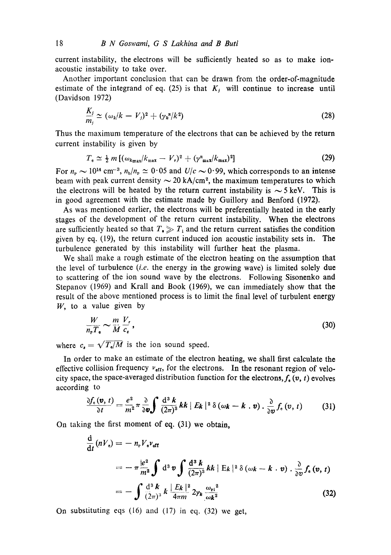current instability, the electrons will be sufficiently heated so as to make ionacoustic instability to take over.

Another important conclusion that can be drawn from the order-of-magnitude estimate of the integrand of eq. (25) is that  $K_j$  will continue to increase until (Davidson 1972)

$$
\frac{K_j}{m_j} \simeq (\omega_k/k - V_j)^2 + (\gamma_k^{\kappa}/k^2) \tag{28}
$$

Thus the maximum temperature of the electrons that can be achieved by the return current instability is given by

$$
T_e \simeq \frac{1}{2} m \left[ (\omega_{k_{\text{max}}} / k_{\text{max}} - V_r)^2 + (\gamma_{\text{max}} / k_{\text{max}})^2 \right]
$$
 (29)

For  $n_{\rm p} \sim 10^{14}$  cm<sup>-3</sup>,  $n_{\rm b}/n_{\rm p} \simeq 0.05$  and  $U/c \sim 0.99$ , which corresponds to an intense beam with peak current density  $\sim$  20 kA/cm<sup>2</sup>, the maximum temperatures to which the electrons will be heated by the return current instability is  $\sim$  5 keV. This is in good agreement with the estimate made by Guillory and Benford (1972).

As was mentioned earlier, the electrons will be preferentially heated in the early stages of the development of the return current instability. When the electrons are sufficiently heated so that  $T_{\bullet} \gg T_{\text{i}}$  and the return current satisfies the condition given by eq. (19), the return current induced ion acoustic instability sets in. The turbulence generated by this instability will further heat the plasma.

We shall make a rough estimate of the electron heating on the assumption that the level of turbulence *(i.e.* the energy in the growing wave) is limited solely due to scattering of the ion sound wave by the electrons. Following Sisonenko and Stepanov (1969) and Krall and Book (1969), we can immediately show that the result of the above mentioned process is to limit the final level of turbulent energy  $W$ , to a value given by

$$
\frac{W}{n_{\rm F}T_{\rm e}} \sim \frac{m}{M} \frac{V_r}{c_s} \,,\tag{30}
$$

where  $c_s = \sqrt{T_s/M}$  is the ion sound speed.

In order to make an estimate of the electron heating, we shall first calculate the effective collision frequency  $v_{\text{eff}}$ , for the electrons. In the resonant region of velocity space, the space-averaged distribution function for the electrons,  $f_{\theta}(v, t)$  evolves according to

$$
\frac{\partial f_{\epsilon}(\boldsymbol{v},t)}{\partial t} = \frac{e^2}{m^2} \pi \frac{\partial}{\partial \boldsymbol{v}} \int \frac{\mathrm{d}^3 k}{(2\pi)^3} k k \mid E_k \mid^2 \delta (\omega_k - k \cdot \boldsymbol{v}) \cdot \frac{\partial}{\partial \boldsymbol{v}} f_{\epsilon}(\boldsymbol{v},t) \tag{31}
$$

On taking the first moment of eq. (31) we obtain,

$$
\frac{d}{dt}(nV_{e}) = -n_{P}V_{e}v_{eff}
$$
\n
$$
= -\pi \frac{|e^{2}|}{m^{2}} \int d^{3} \nu \int \frac{d^{3} k}{(2\pi)^{3}} k k |E_{k}|^{2} \delta(\omega_{k} - k \cdot \nu) \cdot \frac{\partial}{\partial \nu} f_{e}(\nu, t)
$$
\n
$$
= -\int \frac{d^{3} k}{(2\pi)^{3}} k \frac{|E_{k}|^{2}}{4\pi m} 2\gamma_{k} \frac{\omega_{pi}^{2}}{\omega_{k}^{2}}
$$
\n(32)

On substituting eqs (16) and (17) in eq. (32) we get,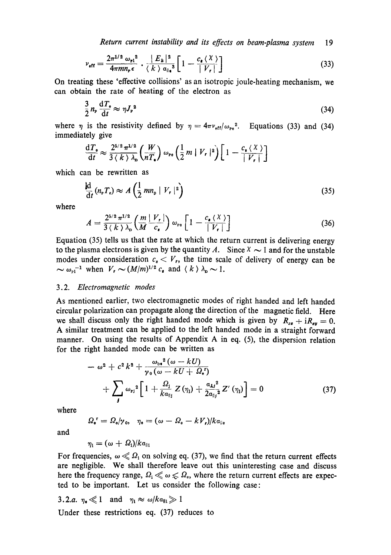$$
\nu_{\text{eff}} = \frac{2\pi^{1/2} \omega_{\text{ri}}^2}{4\pi m n_{\text{r}} \epsilon} \cdot \frac{|E_k|^2}{\langle k \rangle \alpha_{\parallel \bullet}^3} \left[1 - \frac{c_{\bullet} \langle \chi \rangle}{|V_r|}\right] \tag{33}
$$

On treating these 'effective collisions' as an isotropic joule-heating mechanism, we can obtain the rate of heating of the electron as

$$
\frac{3}{2}n_{\rm P}\frac{\mathrm{d}T_{\rm e}}{\mathrm{d}t} \approx \eta J_{\rm P}^{\ 2} \tag{34}
$$

where  $\eta$  is the resistivity defined by  $\eta = 4\pi v_{\text{eff}}/\omega_{\text{pe}}^2$ . Equations (33) and (34) immediately give

$$
\frac{\mathrm{d}T_{\bullet}}{\mathrm{d}t} \approx \frac{2^{5/2} \pi^{1/2}}{3 \langle k \rangle \lambda_{\rm D}} \left( \frac{W}{nT_{\bullet}} \right) \omega_{\rm Po} \left( \frac{1}{2} m \mid V_{r} \mid^{2} \right) \left[ 1 - \frac{c_{\bullet} \langle X \rangle}{|V_{r}|} \right]
$$

which can be rewritten as

$$
\frac{d}{dt}\left(n_rT_e\right) \approx A\left(\frac{1}{2}mn_p\mid V_r\mid^2\right) \tag{35}
$$

where

$$
A = \frac{2^{5/2} \pi^{1/2}}{3 \langle k \rangle \lambda_{\rm p}} \left( \frac{m}{M} \frac{|V_r|}{c_{\rm s}} \right) \omega_{\rm p_0} \left[ 1 - \frac{c_{\rm s} \langle \chi \rangle}{|V_r|} \right] \tag{36}
$$

Equation (35) tells us that the rate at which the return current is delivering energy to the plasma electrons is given by the quantity A. Since  $X \sim 1$  and for the unstable modes under consideration  $c_s < V_r$ , the time scale of delivery of energy can be  $\sim \omega_{\rm Pl}^{-1}$  when  $V_r \sim (M/m)^{1/2} c_s$  and  $\langle k \rangle \lambda_{\rm p} \sim 1$ .

### 3.2. *Electromagnetic modes*

As mentioned earlier, two electromagnetic modes of right handed and left handed circular polarization can propagate along the direction of the magnetic field. Here we shall discuss only the right handed mode which is given by  $R_{x} + iR_{xy} = 0$ . A similar treatment can be applied to the left handed mode in a straight forward manner. On using the results of Appendix A in eq. (5), the dispersion relation for the right handed mode can be written as

$$
-\omega^{2} + c^{2} k^{2} + \frac{\omega_{b}^{2} (\omega - kU)}{\gamma_{0} (\omega - kU + \Omega_{s}^{r})}
$$
  
+ 
$$
\sum_{j} \omega_{rj}^{2} \left[ 1 + \frac{\Omega_{j}}{k a_{ij}} Z(\eta_{j}) + \frac{a_{\mathbf{L}j}^{2}}{2 a_{ij}^{2}} Z'(\eta_{j}) \right] = 0
$$
(37)

where

 $Q_{\bullet}^{r} = \Omega_{\bullet}/\gamma_{0}, \quad \eta_{\bullet} = (\omega - \Omega_{\bullet} - kV_{\bullet})/k\alpha_{\parallel \bullet}$ 

and

$$
\eta_{\rm i} = (\omega + \varOmega_{\rm i})/k a_{\scriptscriptstyle\parallel 1}
$$

For frequencies,  $\omega \ll \Omega_1$  on solving eq. (37), we find that the return current effects are negligible. We shall therefore leave out this uninteresting case and discuss here the frequency range,  $\Omega_i \ll \omega \ll \Omega_e$ , where the return current effects are expected to be important. Let us consider the following case:

3.2.a. 
$$
\eta_{\bullet} \ll 1
$$
 and  $\eta_1 \approx \omega / k \alpha_{\text{Hi}} \gg 1$   
Under these restrictions eq. (37) reduces to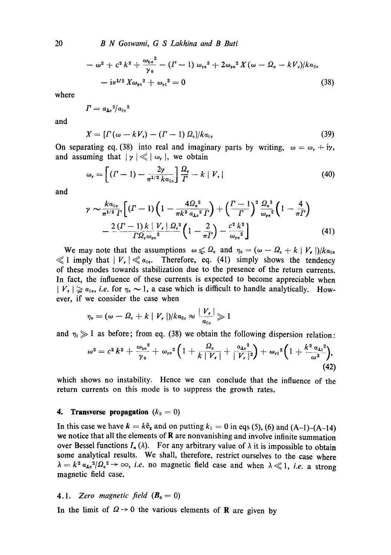*B N Goswami, G S Lakhina and B Buti* 

$$
- \omega^2 + c^2 k^2 + \frac{\omega_{be}^2}{\gamma_0} - (I - 1) \omega_{re}^2 + 2 \omega_{re}^2 X (\omega - \Omega_e - kV_r) / k a_{\parallel e}
$$
  
- i\pi^{1/2} X \omega\_{re}^2 + \omega\_{r1}^2 = 0 (38)

where

$$
\varGamma = a_{\text{Le}}{}^2/a_{\parallel e}{}^2
$$

and

$$
X = [T(\omega - kV_{r}) - (T - 1) \Omega_{\rm e}]/ka_{\rm e}
$$
\n(39)

On separating eq. (38) into real and imaginary parts by writing,  $\omega = \omega_r + i\gamma$ , and assuming that  $|\gamma| \ll |\omega_r|$ , we obtain

$$
\omega_r = \left[ (I - 1) - \frac{2\gamma}{\pi^{1/2} k \alpha_{\parallel e}} \right] \frac{\Omega_e}{\Gamma} - k \mid V_r \mid \tag{40}
$$

and

$$
\gamma \sim \frac{k a_{\parallel e}}{\pi^{1/2} \Gamma} \Big[ (I - 1) \Big( 1 - \frac{4 \Omega_e^2}{\pi k^2 a_{\perp e}^2 \Gamma} \Big) + \Big( \frac{I - 1}{\Gamma} \Big)^2 \frac{\Omega_e^2}{\omega_{\text{pe}}^2} \Big( 1 - \frac{4}{\pi \Gamma} \Big) - \frac{2 (I - 1) k \mid V_r \mid \Omega_e^2}{\Gamma \Omega_e \omega_{\text{pe}}^2} \Big( 1 - \frac{2}{\pi \Gamma} \Big) - \frac{c^2 k^2}{\omega_{\text{pe}}^2} \Big]
$$
(41)

We may note that the assumptions  $\omega \leq \Omega_e$  and  $\eta_e = (\omega - \Omega_e + k | V_e|)/k\alpha_{\parallel e}$  $\ll 1$  imply that  $|V_r| \ll a_{\text{lin}}$ . Therefore, eq. (41) simply shows the tendency of these modes towards stabilization due to the presence of the return currents. In fact, the influence of these currents is expected to become appreciable when  $| V_r | \ge a_{\text{max}}$ , *i.e.* for  $\eta_e \sim 1$ , a case which is difficult to handle analytically. However, if we consider the case when

$$
\eta_{\rm e} = (\omega - \Omega_{\rm e} + k \mid V_{\rm r} \mid)/ka_{\rm \parallel e} \approx \frac{|V_{\rm r}|}{a_{\rm \parallel e}} \gg 1
$$

and  $\eta_i \gg 1$  as before; from eq. (38) we obtain the following dispersion relation:

$$
\omega^{2} = c^{2} k^{2} + \frac{\omega_{\text{be}}^{2}}{\gamma_{0}} + \omega_{\text{pe}}^{2} \Big( 1 + \frac{\Omega_{\text{e}}}{k \mid V_{\text{r}} \mid} + \frac{a_{\text{Le}}^{2}}{\mid V_{\text{r}} \mid^{2}} \Big) + \omega_{\text{r1}}^{2} \Big( 1 + \frac{k^{2} a_{\text{Li}}^{2}}{\omega^{2}} \Big), \tag{42}
$$

which shows no instability. Hence we can conclude that the influence of the return currents on this mode is to suppress the growth rates.

#### **4. Transverse propagation**  $(k_{\parallel} = 0)$

In this case we have  $k = k\hat{e}_x$  and on putting  $k_{\parallel} = 0$  in eqs (5), (6) and (A-1)-(A-14) we notice that all the elements of **R** are nonvanishing and involve infinite summation over Bessel functions  $I_n(\lambda)$ . For any arbitrary value of  $\lambda$  it is impossible to obtain some analytical results. We shall, therefore, restrict ourselves to the case where  $\lambda = k^2 a_{1e}^2 / \Omega_e^2 \rightarrow \infty$ , *i.e.* no magnetic field case and when  $\lambda \ll 1$ , *i.e.* a strong magnetic field case.

### **4.1.** Zero magnetic field  $(B_0 = 0)$

In the limit of  $\Omega \rightarrow 0$  the various elements of **R** are given by

20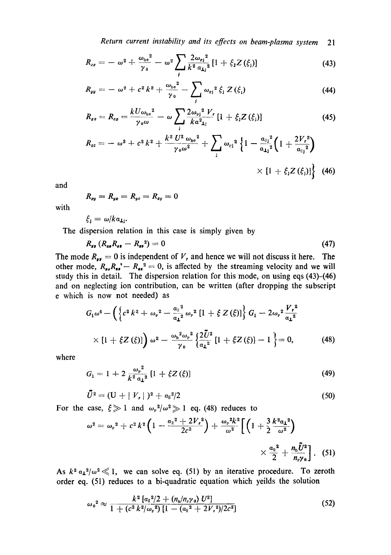$$
R_{xx} = -\omega^2 + \frac{\omega_{be}^2}{\gamma_0} - \omega^2 \sum_j \frac{2\omega_{pj}^2}{k^2 \alpha_{Lj}^2} [1 + \xi_j Z(\xi_j)] \tag{43}
$$

$$
R_{yy} = -\omega^2 + c^2 k^2 + \frac{\omega_{\rm b}^2}{\gamma_0} - \sum_j \omega_{\rm rj}^2 \xi_j Z(\xi_j)
$$
 (44)

$$
R_{zz} = R_{zz} = \frac{kU\omega_{be}^2}{\gamma_0\omega} - \omega \sum_{j} \frac{2\omega_{p\,j}^2 V_r}{k\alpha_{\perp j}^2} [1 + \xi_j Z(\xi_j)] \tag{45}
$$

$$
R_{zz} = -\omega^2 + c^2 k^2 + \frac{k^2 U^2 \omega_{be}^2}{\gamma_0 \omega^2} + \sum_j \omega_{rj}^2 \left\{ 1 - \frac{a_{ij}^2}{a_{1j}^2} \left( 1 + \frac{2V_r^2}{a_{ij}^2} \right) \right. \\
\times \left. \left[ 1 + \xi_j Z(\xi_j) \right] \right\} \tag{46}
$$

and

$$
R_{xy}=R_{yz}=R_{yz}=R_{zy}=0
$$

with

$$
\xi_{\mathbf{j}}=\omega/k a_{\mathbf{I}\mathbf{j}}.
$$

The dispersion relation in this case is simply given by

$$
R_{yy}\left(R_{zz}R_{zz}-R_{zz}^2\right)=0\tag{47}
$$

The mode  $R_{yy} = 0$  is independent of  $V_r$ , and hence we will not discuss it here. The other mode,  $R_{ss}R_{ss} - R_{ss}^2 = 0$ , is affected by the streaming velocity and we will study this in detail. The dispersion relation for this mode, on using eqs (43)-(46) and on neglecting ion contribution, can be written (after dropping the subscript e which is now not needed) as

$$
G_1 \omega^4 - \left( \left\{ c^2 k^2 + \omega_r^2 - \frac{a_{\parallel}^2}{a_{\perp}^2} \omega_r^2 \left[ 1 + \xi Z(\xi) \right] \right\} G_1 - 2 \omega_r^2 \frac{V_r^2}{a_{\perp}^2} \times \left[ 1 + \xi Z(\xi) \right] \right) \omega^2 - \frac{\omega_b^2 \omega_r^2}{\gamma_0} \left\{ \frac{2\tilde{U}^2}{a_{\perp}^2} \left[ 1 + \xi Z(\xi) \right] - 1 \right\} = 0, \qquad (48)
$$

where

$$
G_1 = 1 + 2 \frac{\omega_r^2}{k^2 \alpha_1^2} [1 + \xi Z(\xi)] \tag{49}
$$

$$
\tilde{U}^2 = (U + |V_r|)^2 + a_{\parallel}^2/2 \tag{50}
$$

For the case,  $\xi \gg 1$  and  $\omega_{\rm P}^2/\omega^2 \gg 1$  eq. (48) reduces to

$$
\omega^{2} = \omega_{r}^{2} + c^{2} k^{2} \left( 1 - \frac{\alpha_{\parallel}^{2} + 2V_{r}^{2}}{2c^{2}} \right) + \frac{\omega_{r}^{2} k^{2}}{\omega^{2}} \left[ \left( 1 + \frac{3}{2} \frac{k^{2} \alpha_{1}^{2}}{\omega^{2}} \right) \times \frac{\alpha_{\parallel}^{2}}{\omega^{2}} + \frac{n_{b} \tilde{U}^{2}}{n_{r} \gamma_{0}} \right].
$$
 (51)

As  $k^2 a_1^2/\omega^2 \ll 1$ , we can solve eq. (51) by an iterative procedure. To zeroth order eq. (51) reduces to a bi-quadratic equation which yeilds the solution

$$
\omega_0^2 \approx \frac{k^2 \left[ a_{\parallel}^2 / 2 + (n_b/n_r \gamma_0) U^2 \right]}{1 + (c^2 k^2 / \omega_r^2) \left[ 1 - (a_{\parallel}^2 + 2V_r^2) / 2c^2 \right]}
$$
(52)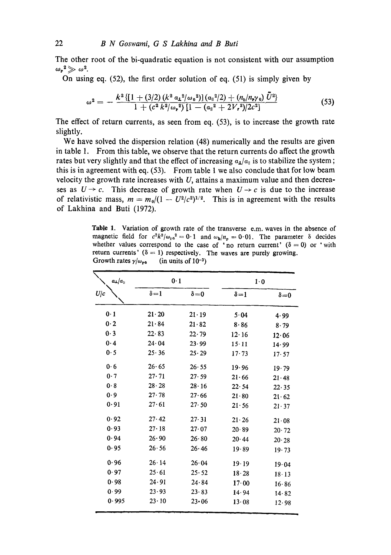The other root of the bi-quadratic equation is not consistent with our assumption  $\omega_{\rm P}{}^2 \gg \omega^2$ .

On using eq. (52), the first order solution of eq. (51) is simply given by

$$
\omega^2 = -\frac{k^2\left\{[1+(3/2)\left(k^2 a_1^2/\omega_0^2\right)](a_1^2/2) + (n_b/n_r\gamma_0)\bar{U}^2\right\}}{1+(c^2 k^2/\omega_r^2)\left[1-(a_1^2+2V_r^2)/2c^2\right]}\tag{53}
$$

The effect of return currents, as seen from eq. (53), is to increase the growth rate slightly.

We have solved the dispersion relation (48) numerically and the results are given in table 1. From this table, we observe that the return currents do affect the growth rates but very slightly and that the effect of increasing  $a_{\perp}/a_{\parallel}$  is to stabilize the system; this is in agreement with eq. (53). From table 1 we also conclude that for low beam velocity the growth rate increases with  $U$ , attains a maximum value and then decreases as  $U \rightarrow c$ . This decrease of growth rate when  $U \rightarrow c$  is due to the increase of relativistic mass,  $m = m_0/(1 - U^2/c^2)^{1/2}$ . This is in agreement with the results of Lakhina and Buti (1972).

Table 1. Variation of growth rate of the transverse e.m. waves in the absence of magnetic field for  $c^2 k^2/\omega_{\rm re}^2 = 0.1$  and  $\omega_{\rm b}/n_{\rm p} = 0.01$ . The parameter  $\delta$  decides whether values correspond to the case of 'no return current'  $(\delta = 0)$  or 'with return currents' ( $\delta = 1$ ) respectively. The waves are purely growing. Growth rates  $\gamma/\omega_{\rm re}$  (in units of 10<sup>-3</sup>)

| $a_{\perp}/a_{\parallel}$ | 0.1           |               | 1.0           |               |  |  |
|---------------------------|---------------|---------------|---------------|---------------|--|--|
| U/c                       | $\delta = 1$  | $\delta = 0$  | $\delta = 1$  | $\delta = 0$  |  |  |
| 0.1                       | $21 \cdot 20$ | $21 \cdot 19$ | 5.04          | 4.99          |  |  |
| 0.2                       | 21.84         | 21.82         | 8.86          | 8.79          |  |  |
| 0.3                       | 22.83         | 22.79         | $12 \cdot 16$ | $12 \cdot 06$ |  |  |
| 0.4                       | 24.04         | 23.99         | $15 \cdot 11$ | 14.99         |  |  |
| 0.5                       | 25.36         | 25.29         | 17.73         | 17.57         |  |  |
| 0.6                       | 26.65         | 26.55         | 19.96         | 19.79         |  |  |
| 0.7                       | 27.71         | 27.59         | 21.66         | 21.48         |  |  |
| 0.8                       | $28 - 28$     | 28.16         | 22.54         | 22.35         |  |  |
| 0.9                       | 27.78         | 27.66         | 21.80         | $21 \cdot 62$ |  |  |
| 0.91                      | 27.61         | 27.50         | 21.56         | $21 \cdot 37$ |  |  |
| 0.92                      | 27.42         | 27.31         | $21 \cdot 26$ | $21 \cdot 08$ |  |  |
| 0.93                      | $27 \cdot 18$ | 27.07         | 20.89         | $20 \cdot 72$ |  |  |
| 0.94                      | 26.90         | 26.80         | 20.44         | 20.28         |  |  |
| 0.95                      | 26.56         | 26.46         | 19.89         | 19.73         |  |  |
| 0.96                      | $26 \cdot 14$ | 26.04         | 19.19         | 19.04         |  |  |
| 0.97                      | 25.61         | 25.52         | 18.28         | $18 \cdot 13$ |  |  |
| 0.98                      | 24.91         | 24.84         | 17.00         | 16.86         |  |  |
| 0.99                      | 23.93         | 23.83         | 14.94         | 14.82         |  |  |
| 0.995                     | $23 \cdot 10$ | $23 - 06$     | 13.08         | 12.98         |  |  |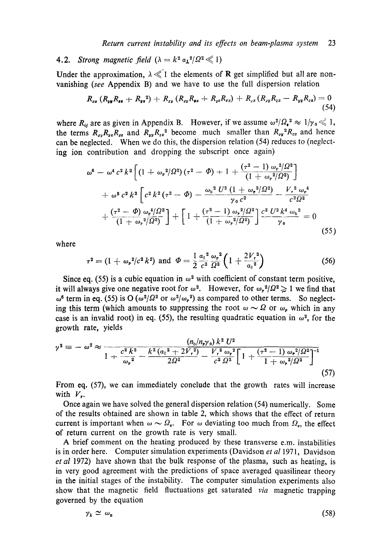# **4.2.** *Strong magnetic field*  $(\lambda = k^2 \alpha_1^2) \Omega^2 \ll 1$

Under the approximation,  $\lambda \ll 1$  the elements of **R** get simplified but all are nonvanishing (see Appendix B) and we have to use the full dispersion relation

$$
R_{zs} (R_{yy}R_{ss} + R_{yz}^2) + R_{zy} (R_{zy}R_{sz} + R_{yz}R_{zz}) + R_{zz} (R_{zy}R_{yz} - R_{yy}R_{zz}) = 0
$$
\n(54)

where  $R_{ij}$  are as given in Appendix B. However, if we assume  $\omega^2/\Omega_*^2 \approx 1/\gamma_0 \ll 1$ , the terms  $R_{xy}R_{yz}R_{zz}$  and  $R_{yy}R_{zz}$ <sup>2</sup> become much smaller than  $R_{xy}$ <sup>2</sup> $R_{zz}$  and hence can be neglected. When we do this, the dispersion relation (54) reduces to (neglecting ion contribution and dropping the subscript once again)

$$
\omega^{6} - \omega^{4} c^{2} k^{2} \left[ \left( 1 + \omega_{P}^{2} / \Omega^{2} \right) \left( \tau^{2} - \Phi \right) + 1 + \frac{\left( \tau^{2} - 1 \right) \omega_{P}^{2} / \Omega^{2}}{\left( 1 + \omega_{P}^{2} / \Omega^{2} \right)} \right] \n+ \omega^{2} c^{2} k^{2} \left[ c^{2} k^{2} \left( \tau^{2} - \Phi \right) - \frac{\omega_{b}^{2} U^{2} \left( 1 + \omega_{P}^{2} / \Omega^{2} \right)}{\gamma_{0} c^{2}} - \frac{V_{r}^{2} \omega_{P}^{4}}{c^{2} \Omega^{2}} \right] \n+ \frac{\left( \tau^{2} - \Phi \right) \omega_{P}^{4} / \Omega^{2}}{\left( 1 + \omega_{P}^{2} / \Omega^{2} \right)} + \left[ 1 + \frac{\left( \tau^{2} - 1 \right) \omega_{P}^{2} / \Omega^{2}}{\left( 1 + \omega_{P}^{2} / \Omega^{2} \right)} \right] \frac{c^{2} U^{2} k^{4} \omega_{b}^{2}}{\gamma_{0}} = 0
$$
\n(55)

where

$$
\tau^2 = (1 + \omega_r^2/c^2 k^2) \text{ and } \Phi = \frac{1}{2} \frac{\alpha_{\parallel}^2}{c^2} \frac{\omega_r^2}{\Omega^2} \left(1 + \frac{2V_r^2}{\alpha_{\parallel}^2}\right)
$$
(56)

Since eq. (55) is a cubic equation in  $\omega^2$  with coefficient of constant term positive, it will always give one negative root for  $\omega^2$ . However, for  $\omega_p^2/\Omega^2 \geq 1$  we find that  $\omega^6$  term in eq. (55) is O ( $\omega^2/\Omega^2$  or  $\omega^2/\omega_r^2$ ) as compared to other terms. So neglecting this term (which amounts to suppressing the root  $\omega \sim \Omega$  or  $\omega_r$ , which in any case is an invalid root) in eq. (55), the resulting quadratic equation in  $\omega^2$ , for the growth rate, yields

$$
\gamma^2 \equiv -\omega^2 \approx \frac{(n_b/n_{\rm F}\gamma_0)k^2 U^2}{1 + \frac{c^2 k^2}{\omega_{\rm F}^2} - \frac{k^2 (\alpha_{\rm II}^2 + 2V_r^2)}{2\Omega^2} - \frac{V_r^2 \omega_{\rm F}^2}{c^2 \Omega^2} \left[1 + \frac{(\tau^2 - 1) \omega_{\rm F}^2/\Omega^2}{1 + \omega_{\rm F}^2/\Omega^2}\right]^{-1} \tag{57}
$$

From eq. **(57),** we can immediately conclude that the growth rates will increase with  $V_{\mathbf{r}}$ .

Once again we have solved the general dispersion relation (54) numerically. Some of the results obtained are shown in table 2, which shows that the effect of return current is important when  $\omega \sim \Omega_e$ . For  $\omega$  deviating too much from  $\Omega_e$ , the effect of return current on the growth rate is very small.

**A** brief comment on the heating produced by these transverse e.m. instabilities is in order here. Computer simulation experiments (Davidson *et a1* 1971, Davidson *et* a1 1972) have shown that the bulk response of the plasma, such as heating, is in very good agreement with the predictions of space averaged quasilinear theory in the initial stages of the instability. The computer simulation experiments also show that the magnetic field fluctuations get saturated *via* magnetic trapping governed by the equation

$$
\gamma_k \simeq \omega_{\rm B} \tag{58}
$$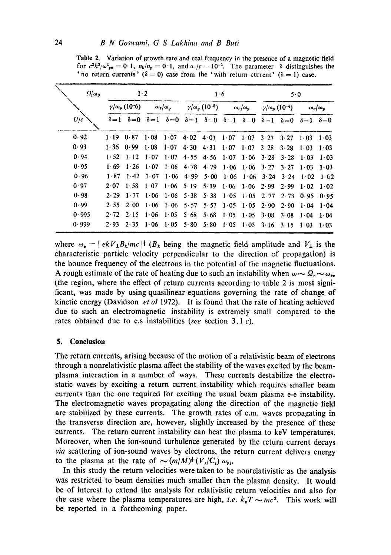Table 2. Variation of growth rate and real frequency in the presence of a magnetic field for  $c^2 k^2/\omega_{\text{pe}}^2 = 0.1$ ,  $n_b/n_p = 0.1$ , and  $a_{\parallel}/c = 10^{-2}$ . The parameter  $\delta$  distinguishes the ' no return currents' ( $\delta = 0$ ) case from the ' with return current' ( $\delta = 1$ ) case.

| $\Omega/\omega_{\rm D}$        | $1\cdot 2$ |                                 |              | 1·6                                         |              |                                                     | 5.0                         |                                             |              |                                 |              |              |
|--------------------------------|------------|---------------------------------|--------------|---------------------------------------------|--------------|-----------------------------------------------------|-----------------------------|---------------------------------------------|--------------|---------------------------------|--------------|--------------|
| $\gamma/\omega_{\rm p}$ (10-6) |            | $\omega_{\rm r}/\omega_{\rm p}$ |              | $\gamma/\omega_{\rm p}$ (10 <sup>-5</sup> ) |              | $\omega_r/\omega_p$                                 |                             | $\gamma/\omega_{\rm p}$ (10 <sup>-4</sup> ) |              | $\omega_{\rm r}/\omega_{\rm p}$ |              |              |
| U/c                            |            | $\delta = 1$ $\delta = 0$       | $\delta = 1$ | $\delta = 0$                                |              | $\delta = 1$ $\delta = 0$ $\delta = 1$ $\delta = 0$ |                             |                                             | $\delta = 1$ | $\delta = 0$                    | $\delta = 1$ | $\delta = 0$ |
| 0.92                           | 1.19       | 0.87                            | 1.08         | 1.07                                        | 4.02         | 4.03                                                | $1 \cdot 07$                | 1.07                                        | 3.27         | 3.27                            | 1.03         | 1.03         |
| 0.93                           | 1.36       | 0.99                            | 1.08         | $1 \cdot 07$                                | 4.30         | 4.31                                                | 1.07                        | $1 \cdot 07$                                | $3 \cdot 28$ | 3.28                            | $1 - 03$     | 1.03         |
| 0.94                           | 1.52       | $1 \cdot 12$                    | $1 \cdot 07$ | 1.07                                        | 4.55         | $4.56 \quad 1.07$                                   |                             | $1 \cdot 06$                                | $3 \cdot 28$ | 3.28                            | 1.03         | 1.03         |
| 0.95                           | 1.69       | 1.26                            | $1 \cdot 07$ | $1 \cdot 06$                                | 4.78         |                                                     | $4.79$ $1.06$ $1.06$ $3.27$ |                                             |              | $3 \cdot 27$                    | $1 \cdot 03$ | 1.03         |
| 0.96                           | 1.87       | $1 - 42$                        | $1 \cdot 07$ | 1.06                                        | 4.99         | $5 \cdot 00$                                        | 1.06                        | $1 \cdot 06$                                | $3 \cdot 24$ | $3 \cdot 24$                    | 1.02         | 1.62         |
| 0.97                           | 2.07       | 1.58                            | 1.07         | 1.06                                        | $5 \cdot 19$ | $5 \cdot 19$                                        | $1 \cdot 06$                | 1.06                                        | 2.99         | 2.99                            | 1.02         | 1.02         |
| 0.98                           | 2.29       | 1.77                            | 1.06         | 1.06                                        | 5.38         |                                                     | $5.38 \quad 1.05$           | 1.05                                        | $2 \cdot 77$ | 2.73                            | 0.95         | 0.95         |
| 0.99                           | 2.55       | $2 \cdot 00$                    | 1.06         | 1.06                                        | 5.57         | 5.57                                                | 1.05                        | 1.05                                        | 2.90         | 2.90                            | 1.04         | 1.04         |
| 0.995                          | 2.72       | $2 \cdot 15$                    | 1.06         | 1.05                                        | 5.68         | 5.68                                                | $1 - 0.5$                   | 1.05                                        | 3.08         | 3.08                            | 1.04         | 1.04         |
| 0.999                          | 2.93       | 2.35                            | 1.06         | 1.05                                        | 5.80         | 5.80                                                | $1 \cdot 05$                | 1.05                                        | $3 \cdot 16$ | 3.15                            | 1.03         | 1.03         |

where  $\omega_{\mu} = | e k V_{\mu} B_{k} / mc |^{1} (B_{k} \text{ being the magnetic field amplitude and } V_{\mu} \text{ is the})$ characteristic particle velocity perpendicular to the direction of propagation) is the bounce frequency of the electrons in the potential of the magnetic fluctuations. A rough estimate of the rate of heating due to such an instability when  $\omega \sim \Omega_e \sim \omega_{\rm re}$ (the region, where the effect of return currents according to table 2 is most significant, was made by using quasilinear equations governing the rate of change of kinetic energy (Davidson *et al* 1972). It is found that the rate of heating achieved due to such an electromagnetic instability is extremely small compared to the rates obtained due to e.s instabilities *(see* section 3.1 c).

### 5. **Conclusion**

The return currents, arising because of the motion of a relativistic beam of electrons through a nonrelativistic plasma affect the stability of the waves excited by the beamplasma interaction in a number of ways. These currents destabilize the electrostatic waves by exciting a return current instability which requires smaller beam currents than the one required for exciting the usual beam plasma e-e instability. The electromagnetic waves propagating along the direction of the magnetic field are stabilized by these currents. The growth rates of e.m. waves propagating in the transverse direction are, however, slightly increased by the presence of these currents. The return current instability can heat the plasma to keV temperatures. Moreover, when the ion-sound turbulence generated by the return current decays *via* scattering of ion-sound waves by electrons, the return current delivers energy to the plasma at the rate of  $\sim (m/M)^{\frac{1}{2}} (V_r/C_s) \omega_{\text{pl}}$ .

In this study the return velocities were taken to be nonrelativistic as the analysis was restricted to beam densities much smaller than the plasma density. It would be of interest to extend the analysis for relativistic return velocities and also for the case where the plasma temperatures are high, *i.e.*  $k_B T \sim mc^2$ . This work will be reported in a forthcoming paper.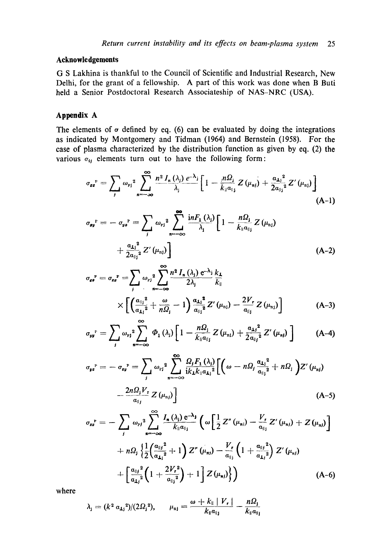# **Aeknowledgemonts**

G S Lakhina is thankful to the Council of Scientific and Industrial Research, New Delhi, for the grant of a fellowship. A part of this work was done when B Buti held a Senior Postdoctoral Research Associateship of NAS-NRC (USA).

# **Appendix A**

The elements of  $\sigma$  defined by eq. (6) can be evaluated by doing the integrations as indicated by Montgomery and Tidman (1964) and Bernstein (1958). For the case of plasma characterized by the distribution function as given by eq. (2) the various  $\sigma_{ij}$  elements turn out to have the following form:

$$
\sigma_{\sigma\sigma}^{\ P} = \sum_{j} \omega_{\rm{pj}}^{2} \sum_{n=-\infty}^{\infty} \frac{n^{2} J_{n}(\lambda_{j}) e^{-\lambda_{j}}}{\lambda_{j}} \left[ 1 - \frac{n \Omega_{j}}{k_{\parallel} \alpha_{\parallel_{j}}} Z(\mu_{\rm{nj}}) + \frac{\alpha_{\rm{Lj}}^{2}}{2 \alpha_{\parallel_{j}}^{2}} Z'(\mu_{\rm{nl}}) \right]
$$
(A-1)

$$
\sigma_{\mathbf{s}\mathbf{y}}^{\mathrm{P}} = - \sigma_{\mathbf{y}\mathbf{s}}^{\mathrm{P}} = \sum_{j} \omega_{\mathrm{Pj}}^{2} \sum_{n=-\infty}^{\infty} \frac{i n F_{1}(\lambda_{j})}{\lambda_{j}} \left[ 1 - \frac{n \Omega_{j}}{k_{\parallel} a_{\parallel j}} Z(\mu_{\mathrm{n}j}) + \frac{a_{1j}^{2}}{2a_{\parallel j}^{2}} Z'(\mu_{\mathrm{n}j}) \right]
$$
\n(A-2)

$$
\sigma_{\epsilon s}^{\ \ \ r} = \sigma_{\epsilon s}^{\ \ \ r} = \sum_{j} \omega_{rj}^{2} \sum_{n=-\infty}^{\infty} \frac{n^{2} I_{n}(\lambda_{j}) e^{-\lambda_{j}}}{2\lambda_{j}} \frac{k_{\perp}}{k_{\parallel}}
$$
\n
$$
\times \left[ \left( \frac{\alpha_{||_{j}}^{2}}{\alpha_{1j}^{2}} + \frac{\omega}{n\Omega_{j}} - 1 \right) \frac{\alpha_{1j}^{2}}{\alpha_{||_{j}}^{2}} Z'(\mu_{nj}) - \frac{2V_{r}}{\alpha_{||_{j}}} Z(\mu_{nj}) \right] \tag{A-3}
$$

$$
\sigma_{yy}^{\ P} = \sum_{j} \omega_{pj}^{2} \sum_{n=-\infty}^{\infty} \Phi_{1}(\lambda_{j}) \left[ 1 - \frac{n \Omega_{j}}{k_{\parallel} a_{\parallel j}} Z(\mu_{nj}) + \frac{a_{1j}^{2}}{2 a_{\parallel j}^{2}} Z'(\mu_{nj}) \right] \quad (A-4)
$$

$$
\sigma_{y z}^{P} = -\sigma_{z y}^{P} = \sum_{j} \omega_{r j}^{2} \sum_{n=-\infty}^{\infty} \frac{\Omega_{j} F_{1}(\lambda_{j})}{i k_{\perp} k_{\parallel} \alpha_{\perp j}^{2}} \Biggl[ \Biggl( \omega - n \Omega_{j} \frac{\alpha_{\perp j}^{2}}{\alpha_{\parallel j}^{2}} + n \Omega_{j} \Biggr) Z'(\mu_{nj}) - \frac{2 n \Omega_{j} V_{r}}{\alpha_{\parallel j}} Z(\mu_{nj}) \Biggr]
$$
\n(A-5)

$$
\sigma_{ss}^{P} = -\sum_{j} \omega_{rj}^{2} \sum_{n=-\infty}^{\infty} \frac{I_{n}(\lambda_{j}) e^{-\lambda_{j}}}{k_{\parallel} \alpha_{\parallel_{j}}} \left( \omega \left[ \frac{1}{2} Z''(\mu_{n}) - \frac{V_{r}}{\alpha_{\parallel_{j}}} Z'(\mu_{n}) + Z(\mu_{n}) \right] \right) + n\Omega_{j} \left\{ \frac{1}{2} \left( \frac{\alpha_{\parallel j}^{2}}{\alpha_{\perp j}^{2}} + 1 \right) Z''(\mu_{n}) - \frac{V_{r}}{\alpha_{\parallel_{j}}} \left( 1 + \frac{\alpha_{\parallel j}^{2}}{\alpha_{\perp j}^{2}} \right) Z'(\mu_{n}) \right. + \left[ \frac{\alpha_{\parallel j}^{2}}{\alpha_{\perp j}^{2}} \left( 1 + \frac{2V_{r}^{2}}{\alpha_{\parallel j}^{2}} \right) + 1 \right] Z(\mu_{n}) \right\} \right) \tag{A-6}
$$

where

$$
\lambda_{j} = (k^{2} \alpha_{\mathbf{I}_{j}}^{2})/(2\Omega_{j}^{2}), \qquad \mu_{n j} = \frac{\omega + k_{\parallel} |V_{r}|}{k_{\parallel} \alpha_{\parallel j}} - \frac{n \Omega_{j}}{k_{\parallel} \alpha_{\parallel j}}
$$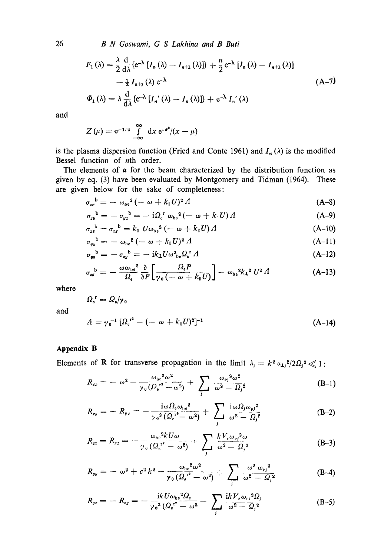*B N Goswami, G S Lakhina and B Buti* 

$$
F_1(\lambda) = \frac{\lambda}{2} \frac{d}{d\lambda} \{e^{-\lambda} [I_n(\lambda) - I_{n+1}(\lambda)]\} + \frac{n}{2} e^{-\lambda} [I_n(\lambda) - I_{n+1}(\lambda)]
$$
  

$$
- \frac{1}{2} I_{n+1}(\lambda) e^{-\lambda}
$$
  

$$
\Phi_1(\lambda) = \lambda \frac{d}{d\lambda} \{e^{-\lambda} [I_n'(\lambda) - I_n(\lambda)]\} + e^{-\lambda} I_n'(\lambda)
$$
 (A-7)

and

$$
Z(\mu) = \pi^{-1/2} \int_{-\infty}^{\infty} dx e^{-a^2}/(x - \mu)
$$

is the plasma dispersion function (Fried and Conte 1961) and  $I_n(\lambda)$  is the modified Bessel function of nth order.

The elements of  $a$  for the beam characterized by the distribution function as given by eq. (3) have been evaluated by Montgomery and Tidman (1964). These are given below for the sake of completeness:

$$
\sigma_{xx}^{\quad b} = -\omega_{be}^2\left(-\omega + k_{\parallel}U\right)^2 A\tag{A-8}
$$

$$
\sigma_{xy}^{\ b} = - \sigma_{yx}^{\ b} = - i \Omega_{e}^{\ r} \omega_{be}^{2} (- \omega + k_{\parallel} U) \Lambda \tag{A-9}
$$

$$
\sigma_{xx}^{\ b} = \sigma_{zx}^{\ b} = k_{\parallel} U \omega_{\rm be}^2 \left( -\omega + k_{\parallel} U \right) A \tag{A-10}
$$

$$
\sigma_{yy}^{\quad b} = -\omega_{be}^2\left(-\omega + k_{\parallel}U\right)^2 A\tag{A-11}
$$

$$
\sigma_{y*}^{\ \ b} = -\sigma_{zy}^{\ \ b} = -\mathrm{i}k_{\perp}U\omega_{\ b e}^2\Omega_{c}^{\ \ r}\Lambda\tag{A-12}
$$

$$
\sigma_{zz}^{\quad b} = -\frac{\omega \omega_{be}^2}{\Omega_e} \frac{\partial}{\partial P} \left[ \frac{\Omega_e P}{\gamma_0 \left( -\omega + k_{\parallel} U \right)} \right] - \omega_{be}^2 k_{\perp}^2 U^2 \varLambda \tag{A-13}
$$

where

$$
\varOmega_{\rm e}^{\;\rm r}=\varOmega_{\rm e}/\gamma_{\,0}
$$

and

$$
A = \gamma_0^{-1} \left[ \Omega_e^{1^2} - (-\omega + k_{\parallel} U)^2 \right]^{-1} \tag{A-14}
$$

## **Appendix B**

Elements of **R** for transverse propagation in the limit  $\lambda_i = k^2 a_{1i}^2 / 2Q_i^2 \ll 1$ :

$$
R_{xz} = -\omega^2 - \frac{\omega_{be}^2 \omega^2}{\gamma_0 (\Omega_e^{r^2} - \omega^2)} + \sum_j \frac{\omega_{ej}^2 \omega^2}{\omega^2 - \Omega_j^2}
$$
 (B-1)

$$
R_{xy} = -R_{yx} = -\frac{i\omega\Omega_{e}\omega_{be}^{2}}{\gamma_{0}^{2}(\Omega_{e}^{r^{2}}-\omega^{2})} + \sum_{j}\frac{i\omega\Omega_{j}\omega_{p j}^{2}}{\omega^{2}-\Omega_{j}^{2}}
$$
(B-2)

$$
R_{zz} = R_{zz} = -\frac{\omega_{\mathrm{bc}}^2 k U \omega}{\gamma_0 \left(\Omega_{\mathrm{c}}^{\mathrm{r}^2} - \omega^2\right)} + \sum_j \frac{k V_r \omega_{\mathrm{r}j}^2 \omega}{\omega^2 - \Omega_j^2}
$$
(B-3)

$$
R_{yy} = -\omega^2 + c^2 k^2 - \frac{\omega_{b}^2 \omega^2}{\gamma_0 (\Omega_e^{r^2} - \omega^2)} + \sum_j \frac{\omega^2 \omega_{rj}^2}{\omega^2 - \Omega_j^2}
$$
 (B-4)

$$
R_{yz} = -R_{zy} = -\frac{ikU\omega_{be}^{2}\Omega_{e}}{\gamma_{0}^{2}(\Omega_{e}^{r^{2}} - \omega^{2}} - \sum_{j}\frac{ikV_{r}\omega_{pj}^{2}\Omega_{j}}{\omega^{2} - \Omega_{j}^{2}}
$$
(B-5)

26